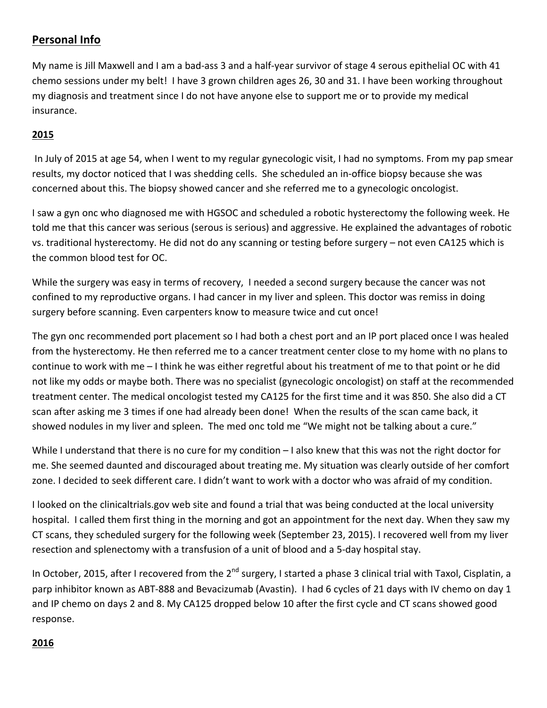# **Personal Info**

My name is Jill Maxwell and I am a bad-ass 3 and a half-year survivor of stage 4 serous epithelial OC with 41 chemo sessions under my belt! I have 3 grown children ages 26, 30 and 31. I have been working throughout my diagnosis and treatment since I do not have anyone else to support me or to provide my medical insurance.

# **2015**

In July of 2015 at age 54, when I went to my regular gynecologic visit, I had no symptoms. From my pap smear results, my doctor noticed that I was shedding cells. She scheduled an in-office biopsy because she was concerned about this. The biopsy showed cancer and she referred me to a gynecologic oncologist.

I saw a gyn onc who diagnosed me with HGSOC and scheduled a robotic hysterectomy the following week. He told me that this cancer was serious (serous is serious) and aggressive. He explained the advantages of robotic vs. traditional hysterectomy. He did not do any scanning or testing before surgery – not even CA125 which is the common blood test for OC.

While the surgery was easy in terms of recovery, I needed a second surgery because the cancer was not confined to my reproductive organs. I had cancer in my liver and spleen. This doctor was remiss in doing surgery before scanning. Even carpenters know to measure twice and cut once!

The gyn onc recommended port placement so I had both a chest port and an IP port placed once I was healed from the hysterectomy. He then referred me to a cancer treatment center close to my home with no plans to continue to work with  $me - 1$  think he was either regretful about his treatment of me to that point or he did not like my odds or maybe both. There was no specialist (gynecologic oncologist) on staff at the recommended treatment center. The medical oncologist tested my CA125 for the first time and it was 850. She also did a CT scan after asking me 3 times if one had already been done! When the results of the scan came back, it showed nodules in my liver and spleen. The med onc told me "We might not be talking about a cure."

While I understand that there is no cure for my condition  $-1$  also knew that this was not the right doctor for me. She seemed daunted and discouraged about treating me. My situation was clearly outside of her comfort zone. I decided to seek different care. I didn't want to work with a doctor who was afraid of my condition.

I looked on the clinicaltrials.gov web site and found a trial that was being conducted at the local university hospital. I called them first thing in the morning and got an appointment for the next day. When they saw my CT scans, they scheduled surgery for the following week (September 23, 2015). I recovered well from my liver resection and splenectomy with a transfusion of a unit of blood and a 5-day hospital stay.

In October, 2015, after I recovered from the 2<sup>nd</sup> surgery, I started a phase 3 clinical trial with Taxol, Cisplatin, a parp inhibitor known as ABT-888 and Bevacizumab (Avastin). I had 6 cycles of 21 days with IV chemo on day 1 and IP chemo on days 2 and 8. My CA125 dropped below 10 after the first cycle and CT scans showed good response.

### **2016**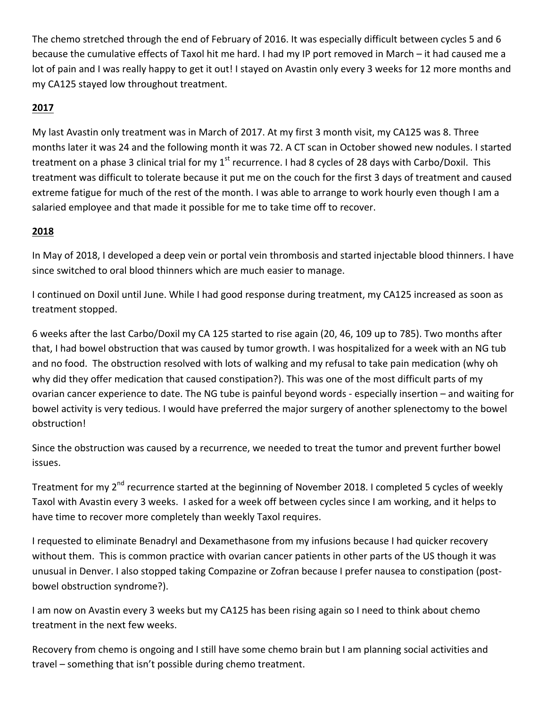The chemo stretched through the end of February of 2016. It was especially difficult between cycles 5 and 6 because the cumulative effects of Taxol hit me hard. I had my IP port removed in March – it had caused me a lot of pain and I was really happy to get it out! I stayed on Avastin only every 3 weeks for 12 more months and my CA125 stayed low throughout treatment.

# **2017**

My last Avastin only treatment was in March of 2017. At my first 3 month visit, my CA125 was 8. Three months later it was 24 and the following month it was 72. A CT scan in October showed new nodules. I started treatment on a phase 3 clinical trial for my  $1^{st}$  recurrence. I had 8 cycles of 28 days with Carbo/Doxil. This treatment was difficult to tolerate because it put me on the couch for the first 3 days of treatment and caused extreme fatigue for much of the rest of the month. I was able to arrange to work hourly even though I am a salaried employee and that made it possible for me to take time off to recover.

### **2018**

In May of 2018, I developed a deep vein or portal vein thrombosis and started injectable blood thinners. I have since switched to oral blood thinners which are much easier to manage.

I continued on Doxil until June. While I had good response during treatment, my CA125 increased as soon as treatment stopped.

6 weeks after the last Carbo/Doxil my CA 125 started to rise again (20, 46, 109 up to 785). Two months after that, I had bowel obstruction that was caused by tumor growth. I was hospitalized for a week with an NG tub and no food. The obstruction resolved with lots of walking and my refusal to take pain medication (why oh why did they offer medication that caused constipation?). This was one of the most difficult parts of my ovarian cancer experience to date. The NG tube is painful beyond words - especially insertion – and waiting for bowel activity is very tedious. I would have preferred the major surgery of another splenectomy to the bowel obstruction!

Since the obstruction was caused by a recurrence, we needed to treat the tumor and prevent further bowel issues. 

Treatment for my 2<sup>nd</sup> recurrence started at the beginning of November 2018. I completed 5 cycles of weekly Taxol with Avastin every 3 weeks. I asked for a week off between cycles since I am working, and it helps to have time to recover more completely than weekly Taxol requires.

I requested to eliminate Benadryl and Dexamethasone from my infusions because I had quicker recovery without them. This is common practice with ovarian cancer patients in other parts of the US though it was unusual in Denver. I also stopped taking Compazine or Zofran because I prefer nausea to constipation (postbowel obstruction syndrome?).

I am now on Avastin every 3 weeks but my CA125 has been rising again so I need to think about chemo treatment in the next few weeks.

Recovery from chemo is ongoing and I still have some chemo brain but I am planning social activities and travel – something that isn't possible during chemo treatment.